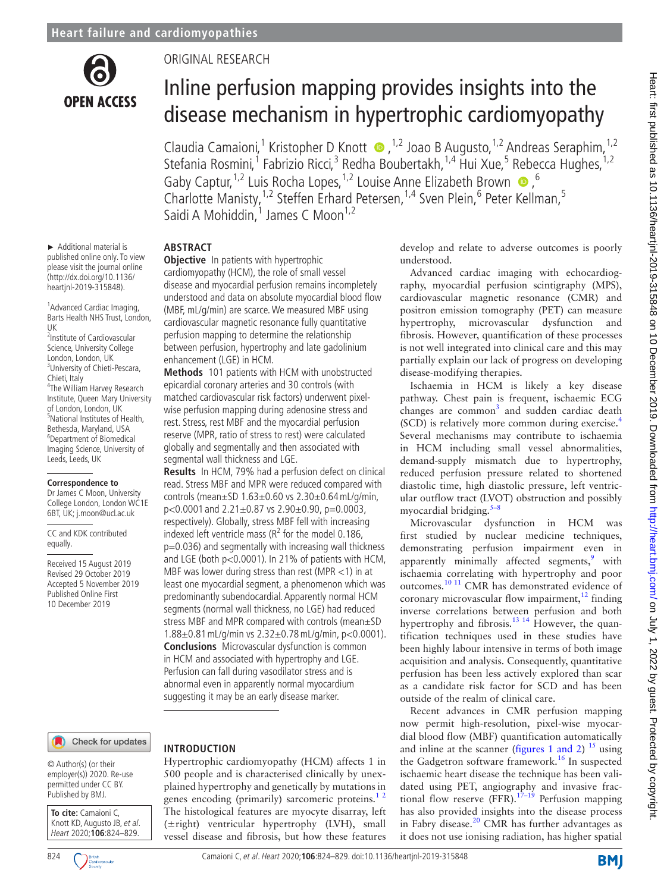

## Original research

# Inline perfusion mapping provides insights into the disease mechanism in hypertrophic cardiomyopathy

ClaudiaCamaioni,<sup>1</sup> Kristopher D Knott <sup>1,2</sup> Joao B Augusto,<sup>1,2</sup> Andreas Seraphim,<sup>1,2</sup> Stefania Rosmini,<sup>1</sup> Fabrizio Ricci,<sup>3</sup> Redha Boubertakh, <sup>1,4</sup> Hui Xue,<sup>5</sup> Rebecca Hughes, <sup>1,2</sup> GabyCaptur,<sup>1,2</sup> Luis Rocha Lopes,<sup>1,2</sup> Louise Anne Elizabeth Brown  $\bullet$ ,<sup>6</sup> Charlotte Manisty, <sup>1,2</sup> Steffen Erhard Petersen, <sup>1,4</sup> Sven Plein, <sup>6</sup> Peter Kellman, <sup>5</sup> Saidi A Mohiddin,<sup>1</sup> James C Moon<sup>1,2</sup>

► Additional material is published online only. To view please visit the journal online (http://dx.doi.org/10.1136/ heartjnl-2019-315848).

<sup>1</sup> Advanced Cardiac Imaging, Barts Health NHS Trust, London, UK

2 Institute of Cardiovascular Science, University College London, London, UK <sup>3</sup> <sup>3</sup>University of Chieti-Pescara, Chieti, Italy <sup>4</sup> The William Harvey Research Institute, Queen Mary University of London, London, UK <sup>5</sup>National Institutes of Health, Bethesda, Maryland, USA <sup>6</sup> Department of Biomedical Imaging Science, University of Leeds, Leeds, UK

#### **Correspondence to**

Dr James C Moon, University College London, London WC1E 6BT, UK; j.moon@ucl.ac.uk

CC and KDK contributed equally.

Received 15 August 2019 Revised 29 October 2019 Accepted 5 November 2019 Published Online First 10 December 2019



© Author(s) (or their employer(s)) 2020. Re-use permitted under CC BY. Published by BMJ.

**To cite:** Camaioni C, Knott KD, Augusto JB, et al. Heart 2020;**106**:824–829.



## **ABSTRACT**

**Objective** In patients with hypertrophic cardiomyopathy (HCM), the role of small vessel disease and myocardial perfusion remains incompletely understood and data on absolute myocardial blood flow (MBF, mL/g/min) are scarce. We measured MBF using cardiovascular magnetic resonance fully quantitative perfusion mapping to determine the relationship between perfusion, hypertrophy and late gadolinium enhancement (LGE) in HCM.

**Methods** 101 patients with HCM with unobstructed epicardial coronary arteries and 30 controls (with matched cardiovascular risk factors) underwent pixelwise perfusion mapping during adenosine stress and rest. Stress, rest MBF and the myocardial perfusion reserve (MPR, ratio of stress to rest) were calculated globally and segmentally and then associated with segmental wall thickness and LGE.

**Results** In HCM, 79% had a perfusion defect on clinical read. Stress MBF and MPR were reduced compared with controls (mean $\pm$ SD 1.63 $\pm$ 0.60 vs 2.30 $\pm$ 0.64 mL/g/min,  $p<0.0001$  and  $2.21\pm0.87$  vs  $2.90\pm0.90$ ,  $p=0.0003$ , respectively). Globally, stress MBF fell with increasing indexed left ventricle mass ( $R^2$  for the model 0.186, p=0.036) and segmentally with increasing wall thickness and LGE (both p<0.0001). In 21% of patients with HCM, MBF was lower during stress than rest (MPR  $<$  1) in at least one myocardial segment, a phenomenon which was predominantly subendocardial. Apparently normal HCM segments (normal wall thickness, no LGE) had reduced stress MBF and MPR compared with controls (mean±SD 1.88±0.81mL/g/min vs 2.32±0.78mL/g/min, p<0.0001). **Conclusions** Microvascular dysfunction is common in HCM and associated with hypertrophy and LGE. Perfusion can fall during vasodilator stress and is abnormal even in apparently normal myocardium suggesting it may be an early disease marker.

## **Introduction**

Hypertrophic cardiomyopathy (HCM) affects 1 in 500 people and is characterised clinically by unexplained hypertrophy and genetically by mutations in genes encoding (primarily) sarcomeric proteins.<sup>12</sup> The histological features are myocyte disarray, left (±right) ventricular hypertrophy (LVH), small vessel disease and fibrosis, but how these features develop and relate to adverse outcomes is poorly understood.

Advanced cardiac imaging with echocardiography, myocardial perfusion scintigraphy (MPS), cardiovascular magnetic resonance (CMR) and positron emission tomography (PET) can measure hypertrophy, microvascular dysfunction and fibrosis. However, quantification of these processes is not well integrated into clinical care and this may partially explain our lack of progress on developing disease-modifying therapies.

Ischaemia in HCM is likely a key disease pathway. Chest pain is frequent, ischaemic ECG changes are common<sup>[3](#page-5-1)</sup> and sudden cardiac death (SCD) is relatively more common during exercise.<sup>[4](#page-5-2)</sup> Several mechanisms may contribute to ischaemia in HCM including small vessel abnormalities, demand-supply mismatch due to hypertrophy, reduced perfusion pressure related to shortened diastolic time, high diastolic pressure, left ventricular outflow tract (LVOT) obstruction and possibly myocardial bridging.<sup>5-</sup>

Microvascular dysfunction in HCM was first studied by nuclear medicine techniques, demonstrating perfusion impairment even in apparently minimally affected segments,<sup>[9](#page-5-4)</sup> with ischaemia correlating with hypertrophy and poor outcomes.[10 11](#page-5-5) CMR has demonstrated evidence of coronary microvascular flow impairment, $^{12}$  $^{12}$  $^{12}$  finding inverse correlations between perfusion and both hypertrophy and fibrosis.<sup>13 14</sup> However, the quantification techniques used in these studies have been highly labour intensive in terms of both image acquisition and analysis. Consequently, quantitative perfusion has been less actively explored than scar as a candidate risk factor for SCD and has been outside of the realm of clinical care.

Recent advances in CMR perfusion mapping now permit high-resolution, pixel-wise myocardial blood flow (MBF) quantification automatically and inline at the scanner (figures [1 and 2](#page-1-0))  $^{15}$  $^{15}$  $^{15}$  using the Gadgetron software framework.<sup>[16](#page-5-9)</sup> In suspected ischaemic heart disease the technique has been validated using PET, angiography and invasive fractional flow reserve (FFR).<sup>17–19</sup> Perfusion mapping has also provided insights into the disease process in Fabry disease. $^{20}$  CMR has further advantages as it does not use ionising radiation, has higher spatial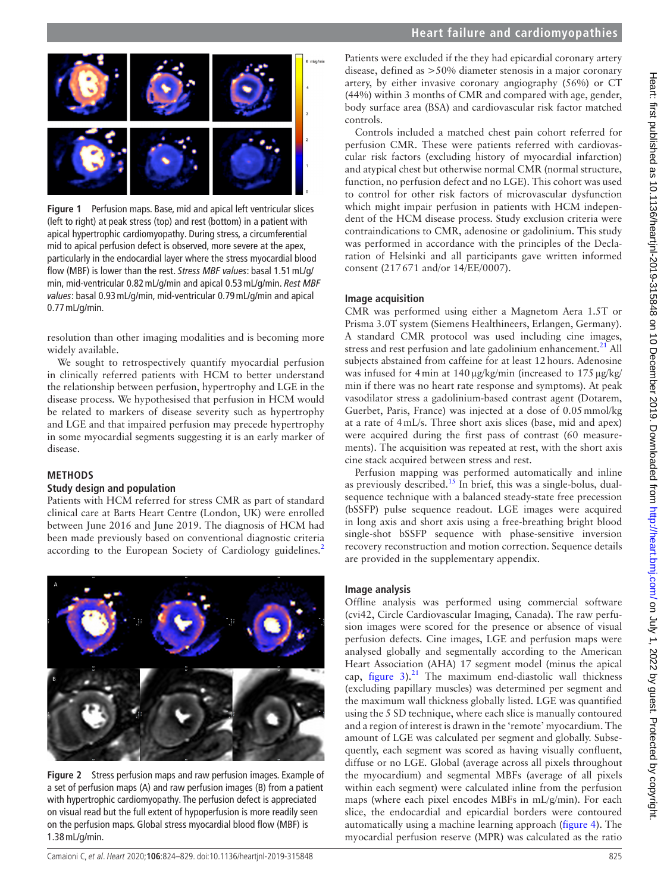

<span id="page-1-0"></span>**Figure 1** Perfusion maps. Base, mid and apical left ventricular slices (left to right) at peak stress (top) and rest (bottom) in a patient with apical hypertrophic cardiomyopathy. During stress, a circumferential mid to apical perfusion defect is observed, more severe at the apex, particularly in the endocardial layer where the stress myocardial blood flow (MBF) is lower than the rest. *Stress MBF values*: basal 1.51mL/g/ min, mid-ventricular 0.82mL/g/min and apical 0.53mL/g/min. *Rest MBF values*: basal 0.93mL/g/min, mid-ventricular 0.79mL/g/min and apical 0.77mL/g/min.

resolution than other imaging modalities and is becoming more widely available.

We sought to retrospectively quantify myocardial perfusion in clinically referred patients with HCM to better understand the relationship between perfusion, hypertrophy and LGE in the disease process. We hypothesised that perfusion in HCM would be related to markers of disease severity such as hypertrophy and LGE and that impaired perfusion may precede hypertrophy in some myocardial segments suggesting it is an early marker of disease.

## **Methods**

## **Study design and population**

Patients with HCM referred for stress CMR as part of standard clinical care at Barts Heart Centre (London, UK) were enrolled between June 2016 and June 2019. The diagnosis of HCM had been made previously based on conventional diagnostic criteria according to the European Society of Cardiology guidelines.<sup>2</sup>



**Figure 2** Stress perfusion maps and raw perfusion images. Example of a set of perfusion maps (A) and raw perfusion images (B) from a patient with hypertrophic cardiomyopathy. The perfusion defect is appreciated on visual read but the full extent of hypoperfusion is more readily seen on the perfusion maps. Global stress myocardial blood flow (MBF) is 1.38mL/g/min.

Patients were excluded if the they had epicardial coronary artery disease, defined as >50% diameter stenosis in a major coronary artery, by either invasive coronary angiography (56%) or CT (44%) within 3 months of CMR and compared with age, gender, body surface area (BSA) and cardiovascular risk factor matched controls.

Controls included a matched chest pain cohort referred for perfusion CMR. These were patients referred with cardiovascular risk factors (excluding history of myocardial infarction) and atypical chest but otherwise normal CMR (normal structure, function, no perfusion defect and no LGE). This cohort was used to control for other risk factors of microvascular dysfunction which might impair perfusion in patients with HCM independent of the HCM disease process. Study exclusion criteria were contraindications to CMR, adenosine or gadolinium. This study was performed in accordance with the principles of the Declaration of Helsinki and all participants gave written informed consent (217671 and/or 14/EE/0007).

## **Image acquisition**

CMR was performed using either a Magnetom Aera 1.5T or Prisma 3.0T system (Siemens Healthineers, Erlangen, Germany). A standard CMR protocol was used including cine images, stress and rest perfusion and late gadolinium enhancement. $^{21}$  All subjects abstained from caffeine for at least 12hours. Adenosine was infused for 4 min at 140 µg/kg/min (increased to 175 µg/kg/ min if there was no heart rate response and symptoms). At peak vasodilator stress a gadolinium-based contrast agent (Dotarem, Guerbet, Paris, France) was injected at a dose of 0.05mmol/kg at a rate of 4mL/s. Three short axis slices (base, mid and apex) were acquired during the first pass of contrast (60 measurements). The acquisition was repeated at rest, with the short axis cine stack acquired between stress and rest.

Perfusion mapping was performed automatically and inline as previously described.<sup>[15](#page-5-8)</sup> In brief, this was a single-bolus, dualsequence technique with a balanced steady-state free precession (bSSFP) pulse sequence readout. LGE images were acquired in long axis and short axis using a free-breathing bright blood single-shot bSSFP sequence with phase-sensitive inversion recovery reconstruction and motion correction. Sequence details are provided in the supplementary appendix.

## **Image analysis**

Offline analysis was performed using commercial software (cvi42, Circle Cardiovascular Imaging, Canada). The raw perfusion images were scored for the presence or absence of visual perfusion defects. Cine images, LGE and perfusion maps were analysed globally and segmentally according to the American Heart Association (AHA) 17 segment model (minus the apical cap, [figure](#page-2-0)  $3$ ).<sup>21</sup> The maximum end-diastolic wall thickness (excluding papillary muscles) was determined per segment and the maximum wall thickness globally listed. LGE was quantified using the 5 SD technique, where each slice is manually contoured and a region of interest is drawn in the 'remote' myocardium. The amount of LGE was calculated per segment and globally. Subsequently, each segment was scored as having visually confluent, diffuse or no LGE. Global (average across all pixels throughout the myocardium) and segmental MBFs (average of all pixels within each segment) were calculated inline from the perfusion maps (where each pixel encodes MBFs in mL/g/min). For each slice, the endocardial and epicardial borders were contoured automatically using a machine learning approach [\(figure](#page-2-1) 4). The myocardial perfusion reserve (MPR) was calculated as the ratio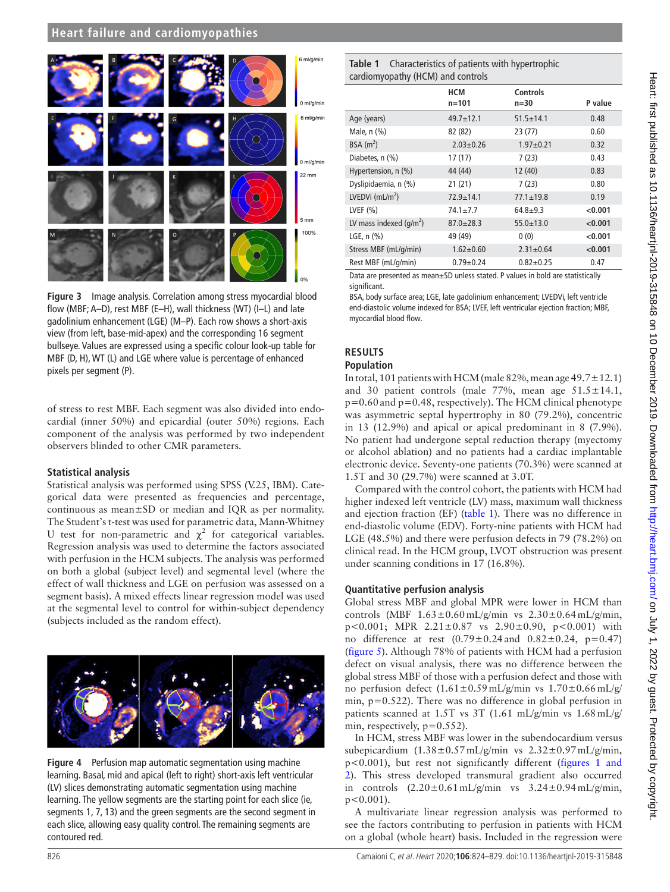## **Heart failure and cardiomyopathies**



<span id="page-2-0"></span>**Figure 3** Image analysis. Correlation among stress myocardial blood flow (MBF; A–D), rest MBF (E–H), wall thickness (WT) (I–L) and late gadolinium enhancement (LGE) (M–P). Each row shows a short-axis view (from left, base-mid-apex) and the corresponding 16 segment bullseye. Values are expressed using a specific colour look-up table for MBF (D, H), WT (L) and LGE where value is percentage of enhanced pixels per segment (P).

of stress to rest MBF. Each segment was also divided into endocardial (inner 50%) and epicardial (outer 50%) regions. Each component of the analysis was performed by two independent observers blinded to other CMR parameters.

#### **Statistical analysis**

Statistical analysis was performed using SPSS (V.25, IBM). Categorical data were presented as frequencies and percentage, continuous as mean±SD or median and IQR as per normality. The Student's t-test was used for parametric data, Mann-Whitney U test for non-parametric and  $\chi^2$  for categorical variables. Regression analysis was used to determine the factors associated with perfusion in the HCM subjects. The analysis was performed on both a global (subject level) and segmental level (where the effect of wall thickness and LGE on perfusion was assessed on a segment basis). A mixed effects linear regression model was used at the segmental level to control for within-subject dependency (subjects included as the random effect).



<span id="page-2-1"></span>**Figure 4** Perfusion map automatic segmentation using machine learning. Basal, mid and apical (left to right) short-axis left ventricular (LV) slices demonstrating automatic segmentation using machine learning. The yellow segments are the starting point for each slice (ie, segments 1, 7, 13) and the green segments are the second segment in each slice, allowing easy quality control. The remaining segments are contoured red.

<span id="page-2-2"></span>**Table 1** Characteristics of patients with hypertrophic cardiomyopathy (HCM) and controls

|                                 | <b>HCM</b>      | Controls        |         |
|---------------------------------|-----------------|-----------------|---------|
|                                 | $n = 101$       | $n = 30$        | P value |
| Age (years)                     | $49.7 \pm 12.1$ | $51.5 \pm 14.1$ | 0.48    |
| Male, n (%)                     | 82 (82)         | 23(77)          | 0.60    |
| BSA(m <sup>2</sup> )            | $2.03 + 0.26$   | $1.97 + 0.21$   | 0.32    |
| Diabetes, n (%)                 | 17(17)          | 7(23)           | 0.43    |
| Hypertension, n (%)             | 44 (44)         | 12(40)          | 0.83    |
| Dyslipidaemia, n (%)            | 21(21)          | 7(23)           | 0.80    |
| LVEDVi $(mL/m2)$                | $72.9 + 14.1$   | $77.1 \pm 19.8$ | 0.19    |
| LVEF $(% )$                     | $74.1 + 7.7$    | $64.8 + 9.3$    | < 0.001 |
| LV mass indexed $\frac{q}{m^2}$ | $87.0 + 28.3$   | $55.0 \pm 13.0$ | < 0.001 |
| LGE, $n$ $(\%)$                 | 49 (49)         | 0(0)            | < 0.001 |
| Stress MBF (mL/g/min)           | $1.62 + 0.60$   | $2.31 \pm 0.64$ | < 0.001 |
| Rest MBF (mL/g/min)             | $0.79 + 0.24$   | $0.82 + 0.25$   | 0.47    |

Data are presented as mean±SD unless stated. P values in bold are statistically significant.

BSA, body surface area; LGE, late gadolinium enhancement; LVEDVi, left ventricle end-diastolic volume indexed for BSA; LVEF, left ventricular ejection fraction; MBF, myocardial blood flow.

## **Results**

## **Population**

In total, 101 patients with HCM (male 82%, mean age  $49.7 \pm 12.1$ ) and 30 patient controls (male 77%, mean age  $51.5 \pm 14.1$ ,  $p=0.60$  and  $p=0.48$ , respectively). The HCM clinical phenotype was asymmetric septal hypertrophy in 80 (79.2%), concentric in 13 (12.9%) and apical or apical predominant in 8 (7.9%). No patient had undergone septal reduction therapy (myectomy or alcohol ablation) and no patients had a cardiac implantable electronic device. Seventy-one patients (70.3%) were scanned at 1.5T and 30 (29.7%) were scanned at 3.0T.

Compared with the control cohort, the patients with HCM had higher indexed left ventricle (LV) mass, maximum wall thickness and ejection fraction (EF) ([table](#page-2-2) 1). There was no difference in end-diastolic volume (EDV). Forty-nine patients with HCM had LGE (48.5%) and there were perfusion defects in 79 (78.2%) on clinical read. In the HCM group, LVOT obstruction was present under scanning conditions in 17 (16.8%).

#### **Quantitative perfusion analysis**

Global stress MBF and global MPR were lower in HCM than controls (MBF  $1.63\pm0.60$  mL/g/min vs  $2.30\pm0.64$  mL/g/min, p<0.001; MPR  $2.21 \pm 0.87$  vs  $2.90 \pm 0.90$ , p<0.001) with no difference at rest  $(0.79 \pm 0.24$  and  $0.82 \pm 0.24$ , p=0.47) ([figure](#page-3-0) 5). Although 78% of patients with HCM had a perfusion defect on visual analysis, there was no difference between the global stress MBF of those with a perfusion defect and those with no perfusion defect  $(1.61\pm0.59 \text{ mL/g/min}$  vs  $1.70\pm0.66 \text{ mL/g/m}$ min, p=0.522). There was no difference in global perfusion in patients scanned at 1.5T vs 3T (1.61 mL/g/min vs 1.68mL/g/ min, respectively,  $p=0.552$ ).

In HCM, stress MBF was lower in the subendocardium versus subepicardium  $(1.38\pm0.57 \text{ mL/g/min}$  vs  $2.32\pm0.97 \text{ mL/g/min}$ , p<0.001), but rest not significantly different ([figures](#page-1-0) 1 and [2\)](#page-1-0). This stress developed transmural gradient also occurred in controls  $(2.20\pm0.61 \,\mathrm{mL/g/min}$  vs  $3.24\pm0.94 \,\mathrm{mL/g/min}$ ,  $p < 0.001$ ).

A multivariate linear regression analysis was performed to see the factors contributing to perfusion in patients with HCM on a global (whole heart) basis. Included in the regression were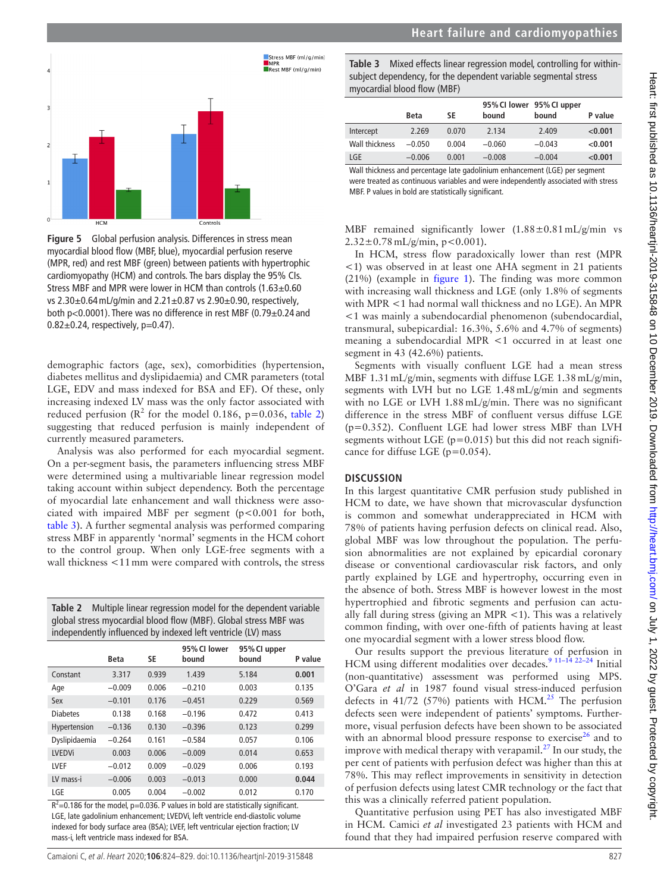

<span id="page-3-0"></span>**Figure 5** Global perfusion analysis. Differences in stress mean myocardial blood flow (MBF, blue), myocardial perfusion reserve (MPR, red) and rest MBF (green) between patients with hypertrophic cardiomyopathy (HCM) and controls. The bars display the 95% CIs. Stress MBF and MPR were lower in HCM than controls  $(1.63\pm0.60)$ vs 2.30±0.64mL/g/min and 2.21±0.87 vs 2.90±0.90, respectively, both p<0.0001). There was no difference in rest MBF (0.79±0.24 and  $0.82 \pm 0.24$ , respectively, p=0.47).

demographic factors (age, sex), comorbidities (hypertension, diabetes mellitus and dyslipidaemia) and CMR parameters (total LGE, EDV and mass indexed for BSA and EF). Of these, only increasing indexed LV mass was the only factor associated with reduced perfusion ( $\mathbb{R}^2$  for the model 0.186, p=0.036, [table](#page-3-1) 2) suggesting that reduced perfusion is mainly independent of currently measured parameters.

Analysis was also performed for each myocardial segment. On a per-segment basis, the parameters influencing stress MBF were determined using a multivariable linear regression model taking account within subject dependency. Both the percentage of myocardial late enhancement and wall thickness were associated with impaired MBF per segment (p<0.001 for both, [table](#page-3-2) 3). A further segmental analysis was performed comparing stress MBF in apparently 'normal' segments in the HCM cohort to the control group. When only LGE-free segments with a wall thickness <11mm were compared with controls, the stress

<span id="page-3-1"></span>**Table 2** Multiple linear regression model for the dependent variable global stress myocardial blood flow (MBF). Global stress MBF was independently influenced by indexed left ventricle (LV) mass

|                 | <b>Beta</b> | SE    | 95% CI lower<br>bound | 95% CI upper<br>hound | P value |
|-----------------|-------------|-------|-----------------------|-----------------------|---------|
| Constant        | 3.317       | 0.939 | 1.439                 | 5.184                 | 0.001   |
| Age             | $-0.009$    | 0.006 | $-0.210$              | 0.003                 | 0.135   |
| Sex             | $-0.101$    | 0.176 | $-0.451$              | 0.229                 | 0.569   |
| <b>Diabetes</b> | 0.138       | 0.168 | $-0.196$              | 0.472                 | 0.413   |
| Hypertension    | $-0.136$    | 0.130 | $-0.396$              | 0.123                 | 0.299   |
| Dyslipidaemia   | $-0.264$    | 0.161 | $-0.584$              | 0.057                 | 0.106   |
| <b>LVEDVi</b>   | 0.003       | 0.006 | $-0.009$              | 0.014                 | 0.653   |
| <b>LVEF</b>     | $-0.012$    | 0.009 | $-0.029$              | 0.006                 | 0.193   |
| IV mass-i       | $-0.006$    | 0.003 | $-0.013$              | 0.000                 | 0.044   |
| LGE             | 0.005       | 0.004 | $-0.002$              | 0.012                 | 0.170   |

 $R^2$ =0.186 for the model, p=0.036. P values in bold are statistically significant. LGE, late gadolinium enhancement; LVEDVi, left ventricle end-diastolic volume indexed for body surface area (BSA); LVEF, left ventricular ejection fraction; LV mass-i, left ventricle mass indexed for BSA.

<span id="page-3-2"></span>**Table 3** Mixed effects linear regression model, controlling for withinsubject dependency, for the dependent variable segmental stress myocardial blood flow (MBF)

|                |             |       |          | 95% CI lower 95% CI upper |         |
|----------------|-------------|-------|----------|---------------------------|---------|
|                | <b>Beta</b> | SE    | bound    | bound                     | P value |
| Intercept      | 2.269       | 0.070 | 2.134    | 2.409                     | < 0.001 |
| Wall thickness | $-0.050$    | 0.004 | $-0.060$ | $-0.043$                  | < 0.001 |
| LGE            | $-0.006$    | 0.001 | $-0.008$ | $-0.004$                  | < 0.001 |

Wall thickness and percentage late gadolinium enhancement (LGE) per segment were treated as continuous variables and were independently associated with stress MBF. P values in bold are statistically significant.

MBF remained significantly lower (1.88±0.81mL/g/min vs  $2.32 \pm 0.78$  mL/g/min, p<0.001).

In HCM, stress flow paradoxically lower than rest (MPR <1) was observed in at least one AHA segment in 21 patients (21%) (example in [figure](#page-1-0) 1). The finding was more common with increasing wall thickness and LGE (only 1.8% of segments with MPR <1 had normal wall thickness and no LGE). An MPR <1 was mainly a subendocardial phenomenon (subendocardial, transmural, subepicardial: 16.3%, 5.6% and 4.7% of segments) meaning a subendocardial MPR <1 occurred in at least one segment in 43 (42.6%) patients.

Segments with visually confluent LGE had a mean stress MBF 1.31mL/g/min, segments with diffuse LGE 1.38mL/g/min, segments with LVH but no LGE 1.48mL/g/min and segments with no LGE or LVH 1.88mL/g/min. There was no significant difference in the stress MBF of confluent versus diffuse LGE (p=0.352). Confluent LGE had lower stress MBF than LVH segments without LGE ( $p=0.015$ ) but this did not reach significance for diffuse LGE (p=0.054).

## **Discussion**

In this largest quantitative CMR perfusion study published in HCM to date, we have shown that microvascular dysfunction is common and somewhat underappreciated in HCM with 78% of patients having perfusion defects on clinical read. Also, global MBF was low throughout the population. The perfusion abnormalities are not explained by epicardial coronary disease or conventional cardiovascular risk factors, and only partly explained by LGE and hypertrophy, occurring even in the absence of both. Stress MBF is however lowest in the most hypertrophied and fibrotic segments and perfusion can actually fall during stress (giving an MPR  $\lt$ 1). This was a relatively common finding, with over one-fifth of patients having at least one myocardial segment with a lower stress blood flow.

Our results support the previous literature of perfusion in HCM using different modalities over decades.<sup>9</sup> <sup>11-14 22-24</sup> Initial (non-quantitative) assessment was performed using MPS. O'Gara *et al* in 1987 found visual stress-induced perfusion defects in 41/72 (57%) patients with HCM.<sup>25</sup> The perfusion defects seen were independent of patients' symptoms. Furthermore, visual perfusion defects have been shown to be associated with an abnormal blood pressure response to exercise $26$  and to improve with medical therapy with verapamil. $^{27}$  In our study, the per cent of patients with perfusion defect was higher than this at 78%. This may reflect improvements in sensitivity in detection of perfusion defects using latest CMR technology or the fact that this was a clinically referred patient population.

Quantitative perfusion using PET has also investigated MBF in HCM. Camici *et al* investigated 23 patients with HCM and found that they had impaired perfusion reserve compared with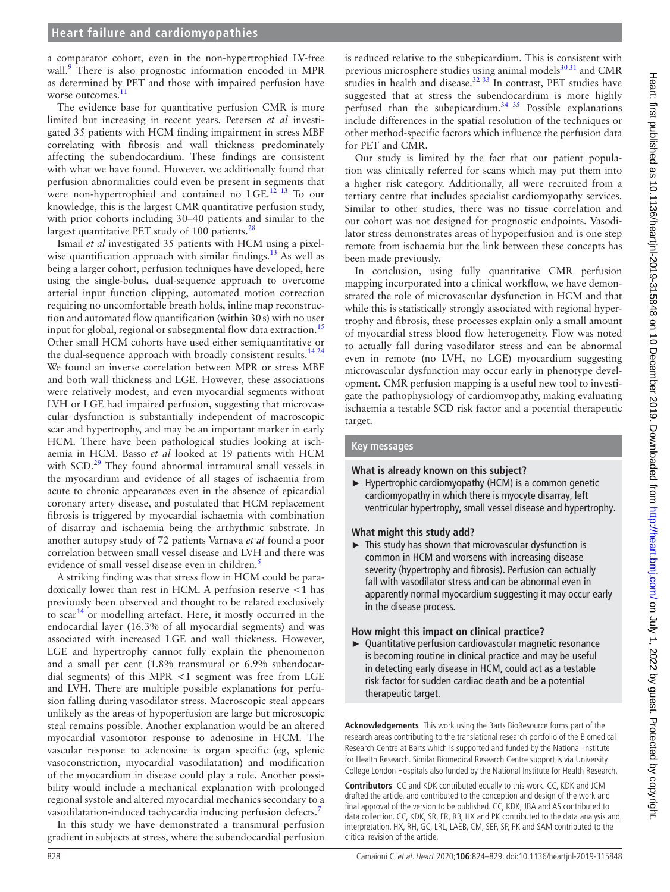a comparator cohort, even in the non-hypertrophied LV-free wall.<sup>[9](#page-5-4)</sup> There is also prognostic information encoded in MPR as determined by PET and those with impaired perfusion have worse outcomes.<sup>[11](#page-5-17)</sup>

The evidence base for quantitative perfusion CMR is more limited but increasing in recent years. Petersen *et al* investigated 35 patients with HCM finding impairment in stress MBF correlating with fibrosis and wall thickness predominately affecting the subendocardium. These findings are consistent with what we have found. However, we additionally found that perfusion abnormalities could even be present in segments that were non-hypertrophied and contained no LGE.<sup>12</sup> <sup>13</sup> To our knowledge, this is the largest CMR quantitative perfusion study, with prior cohorts including 30–40 patients and similar to the largest quantitative PET study of 100 patients.<sup>[28](#page-5-18)</sup>

Ismail *et al* investigated 35 patients with HCM using a pixelwise quantification approach with similar findings.<sup>13</sup> As well as being a larger cohort, perfusion techniques have developed, here using the single-bolus, dual-sequence approach to overcome arterial input function clipping, automated motion correction requiring no uncomfortable breath holds, inline map reconstruction and automated flow quantification (within 30s) with no user input for global, regional or subsegmental flow data extraction.<sup>[15](#page-5-8)</sup> Other small HCM cohorts have used either semiquantitative or the dual-sequence approach with broadly consistent results.<sup>[14 24](#page-5-19)</sup> We found an inverse correlation between MPR or stress MBF and both wall thickness and LGE. However, these associations were relatively modest, and even myocardial segments without LVH or LGE had impaired perfusion, suggesting that microvascular dysfunction is substantially independent of macroscopic scar and hypertrophy, and may be an important marker in early HCM. There have been pathological studies looking at ischaemia in HCM. Basso *et al* looked at 19 patients with HCM with SCD.<sup>[29](#page-5-20)</sup> They found abnormal intramural small vessels in the myocardium and evidence of all stages of ischaemia from acute to chronic appearances even in the absence of epicardial coronary artery disease, and postulated that HCM replacement fibrosis is triggered by myocardial ischaemia with combination of disarray and ischaemia being the arrhythmic substrate. In another autopsy study of 72 patients Varnava *et al* found a poor correlation between small vessel disease and LVH and there was evidence of small vessel disease even in children.<sup>[5](#page-5-3)</sup>

A striking finding was that stress flow in HCM could be paradoxically lower than rest in HCM. A perfusion reserve <1 has previously been observed and thought to be related exclusively to scar<sup>14</sup> or modelling artefact. Here, it mostly occurred in the endocardial layer (16.3% of all myocardial segments) and was associated with increased LGE and wall thickness. However, LGE and hypertrophy cannot fully explain the phenomenon and a small per cent (1.8% transmural or 6.9% subendocardial segments) of this MPR <1 segment was free from LGE and LVH. There are multiple possible explanations for perfusion falling during vasodilator stress. Macroscopic steal appears unlikely as the areas of hypoperfusion are large but microscopic steal remains possible. Another explanation would be an altered myocardial vasomotor response to adenosine in HCM. The vascular response to adenosine is organ specific (eg, splenic vasoconstriction, myocardial vasodilatation) and modification of the myocardium in disease could play a role. Another possibility would include a mechanical explanation with prolonged regional systole and altered myocardial mechanics secondary to a vasodilatation-induced tachycardia inducing perfusion defects.<sup>7</sup>

In this study we have demonstrated a transmural perfusion gradient in subjects at stress, where the subendocardial perfusion

is reduced relative to the subepicardium. This is consistent with previous microsphere studies using animal models $3031$  and CMR studies in health and disease.<sup>32 33</sup> In contrast, PET studies have suggested that at stress the subendocardium is more highly perfused than the subepicardium. $34 - 35$  Possible explanations include differences in the spatial resolution of the techniques or other method-specific factors which influence the perfusion data for PET and CMR.

Our study is limited by the fact that our patient population was clinically referred for scans which may put them into a higher risk category. Additionally, all were recruited from a tertiary centre that includes specialist cardiomyopathy services. Similar to other studies, there was no tissue correlation and our cohort was not designed for prognostic endpoints. Vasodilator stress demonstrates areas of hypoperfusion and is one step remote from ischaemia but the link between these concepts has been made previously.

In conclusion, using fully quantitative CMR perfusion mapping incorporated into a clinical workflow, we have demonstrated the role of microvascular dysfunction in HCM and that while this is statistically strongly associated with regional hypertrophy and fibrosis, these processes explain only a small amount of myocardial stress blood flow heterogeneity. Flow was noted to actually fall during vasodilator stress and can be abnormal even in remote (no LVH, no LGE) myocardium suggesting microvascular dysfunction may occur early in phenotype development. CMR perfusion mapping is a useful new tool to investigate the pathophysiology of cardiomyopathy, making evaluating ischaemia a testable SCD risk factor and a potential therapeutic target.

## **Key messages**

### **What is already known on this subject?**

► Hypertrophic cardiomyopathy (HCM) is a common genetic cardiomyopathy in which there is myocyte disarray, left ventricular hypertrophy, small vessel disease and hypertrophy.

#### **What might this study add?**

► This study has shown that microvascular dysfunction is common in HCM and worsens with increasing disease severity (hypertrophy and fibrosis). Perfusion can actually fall with vasodilator stress and can be abnormal even in apparently normal myocardium suggesting it may occur early in the disease process.

#### **How might this impact on clinical practice?**

► Quantitative perfusion cardiovascular magnetic resonance is becoming routine in clinical practice and may be useful in detecting early disease in HCM, could act as a testable risk factor for sudden cardiac death and be a potential therapeutic target.

**Acknowledgements** This work using the Barts BioResource forms part of the research areas contributing to the translational research portfolio of the Biomedical Research Centre at Barts which is supported and funded by the National Institute for Health Research. Similar Biomedical Research Centre support is via University College London Hospitals also funded by the National Institute for Health Research.

**Contributors** CC and KDK contributed equally to this work. CC, KDK and JCM drafted the article, and contributed to the conception and design of the work and final approval of the version to be published. CC, KDK, JBA and AS contributed to data collection. CC, KDK, SR, FR, RB, HX and PK contributed to the data analysis and interpretation. HX, RH, GC, LRL, LAEB, CM, SEP, SP, PK and SAM contributed to the critical revision of the article.